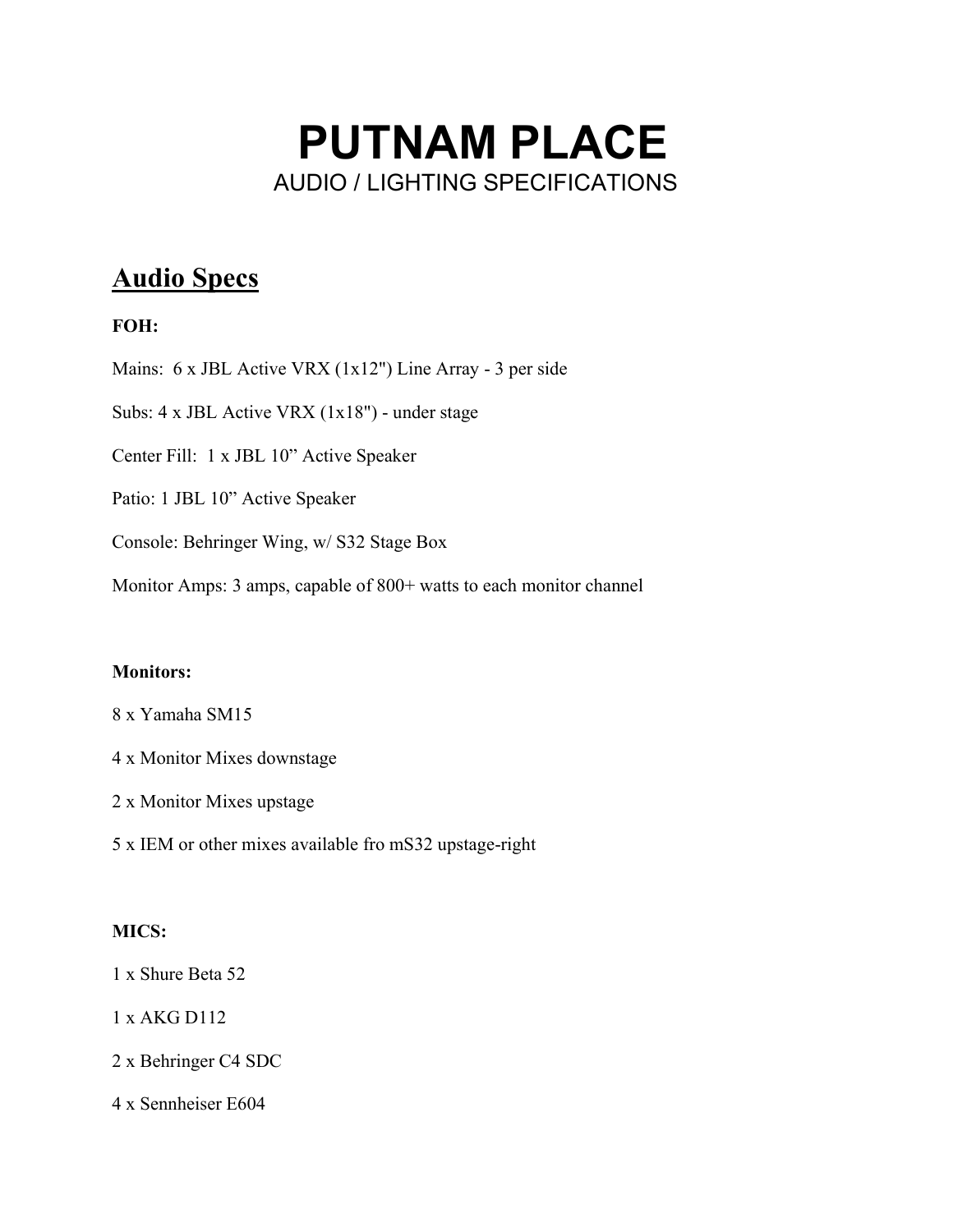# PUTNAM PLACE AUDIO / LIGHTING SPECIFICATIONS

# Audio Specs

# FOH:

Mains: 6 x JBL Active VRX (1x12") Line Array - 3 per side

Subs: 4 x JBL Active VRX (1x18") - under stage

Center Fill: 1 x JBL 10" Active Speaker

Patio: 1 JBL 10" Active Speaker

Console: Behringer Wing, w/ S32 Stage Box

Monitor Amps: 3 amps, capable of 800+ watts to each monitor channel

#### Monitors:

- 8 x Yamaha SM15
- 4 x Monitor Mixes downstage
- 2 x Monitor Mixes upstage
- 5 x IEM or other mixes available fro mS32 upstage-right

## MICS:

1 x Shure Beta 52

1 x AKG D112

2 x Behringer C4 SDC

4 x Sennheiser E604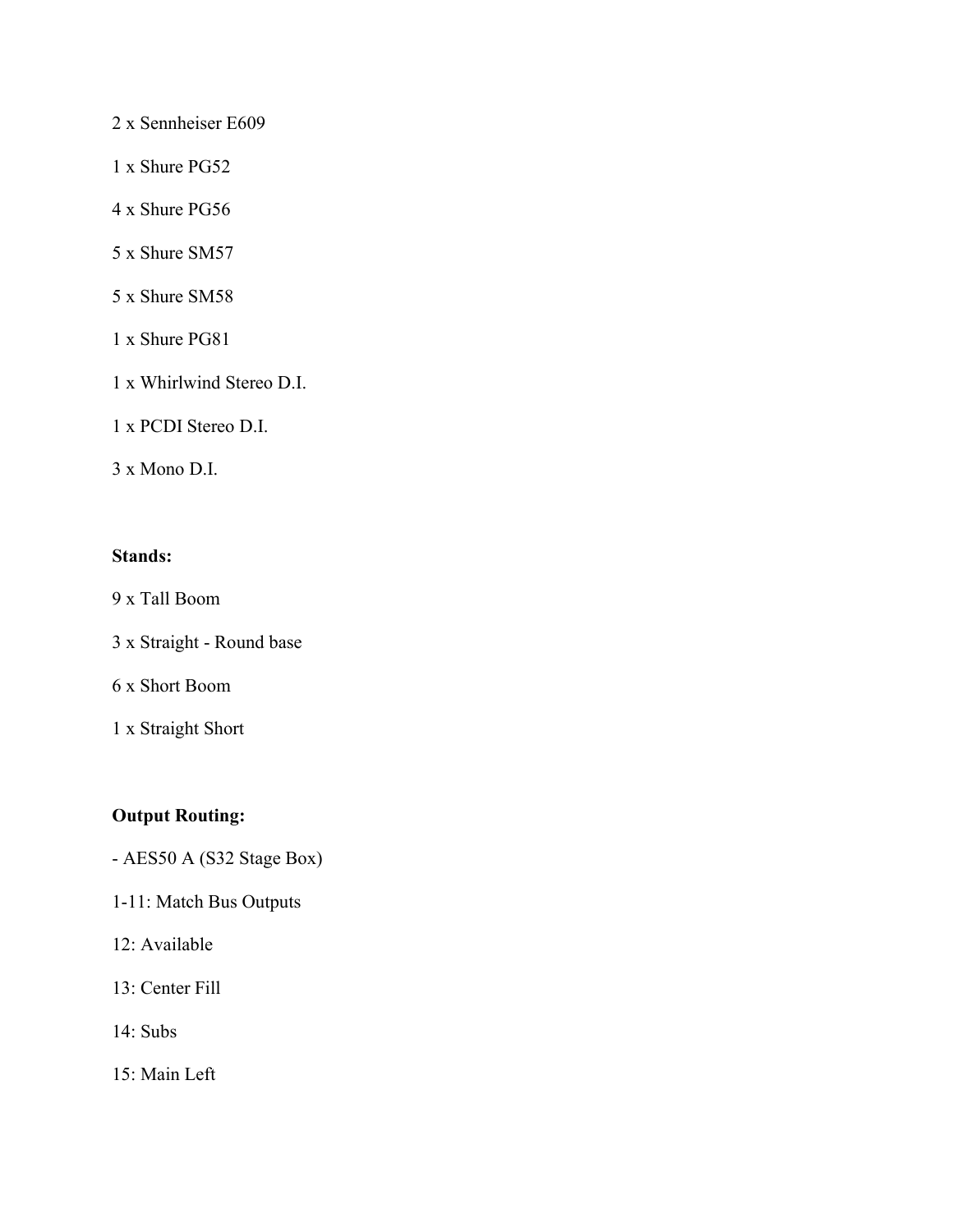# 2 x Sennheiser E609

- 1 x Shure PG52
- 4 x Shure PG56
- 5 x Shure SM57
- 5 x Shure SM58
- 1 x Shure PG81
- 1 x Whirlwind Stereo D.I.
- 1 x PCDI Stereo D.I.
- 3 x Mono D.I.

#### Stands:

- 9 x Tall Boom
- 3 x Straight Round base
- 6 x Short Boom
- 1 x Straight Short

# Output Routing:

- AES50 A (S32 Stage Box)
- 1-11: Match Bus Outputs
- 12: Available
- 13: Center Fill
- 14: Subs
- 15: Main Left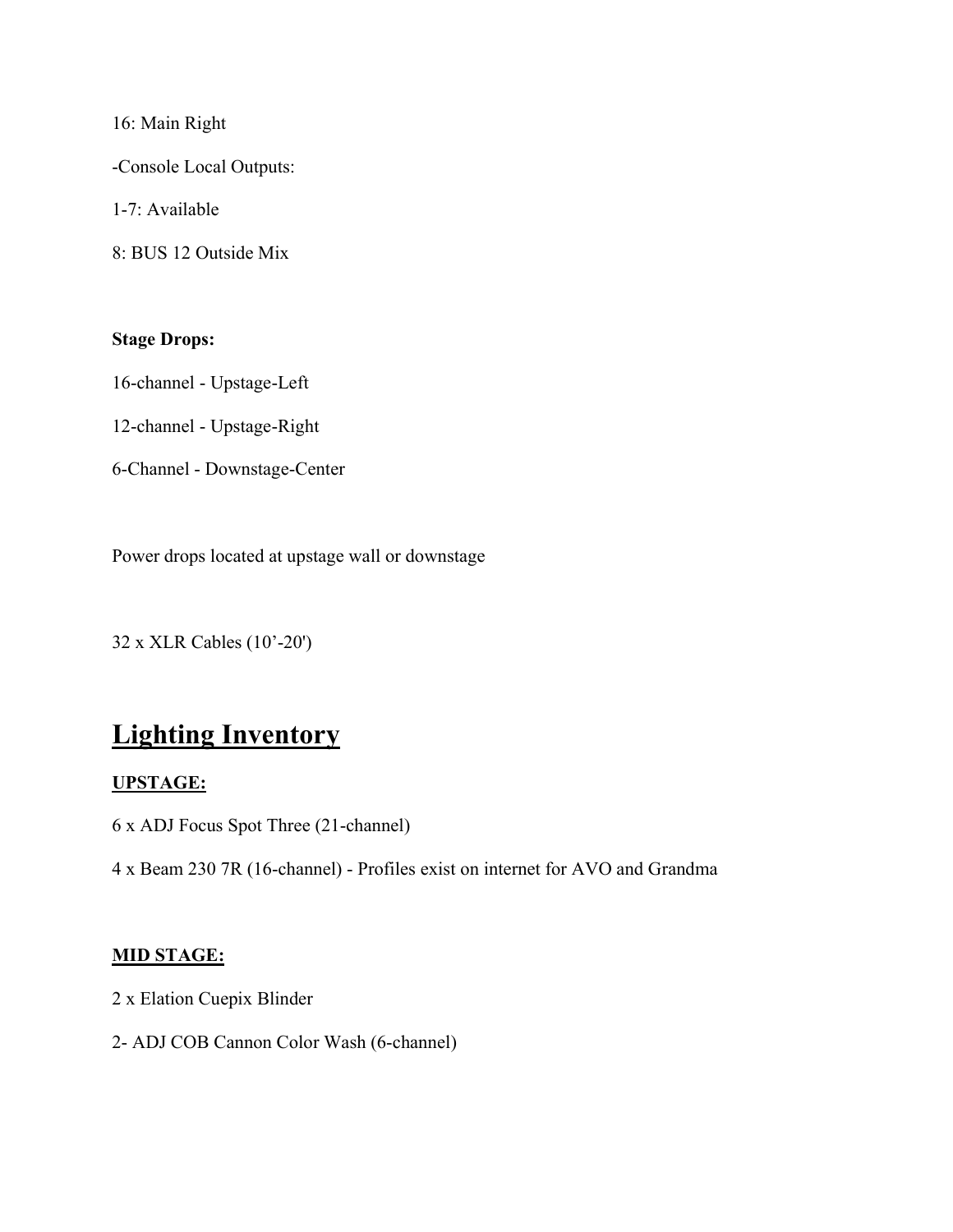16: Main Right

-Console Local Outputs:

1-7: Available

8: BUS 12 Outside Mix

## Stage Drops:

16-channel - Upstage-Left

12-channel - Upstage-Right

6-Channel - Downstage-Center

Power drops located at upstage wall or downstage

32 x XLR Cables (10'-20')

# Lighting Inventory

#### UPSTAGE:

6 x ADJ Focus Spot Three (21-channel)

4 x Beam 230 7R (16-channel) - Profiles exist on internet for AVO and Grandma

#### MID STAGE:

- 2 x Elation Cuepix Blinder
- 2- ADJ COB Cannon Color Wash (6-channel)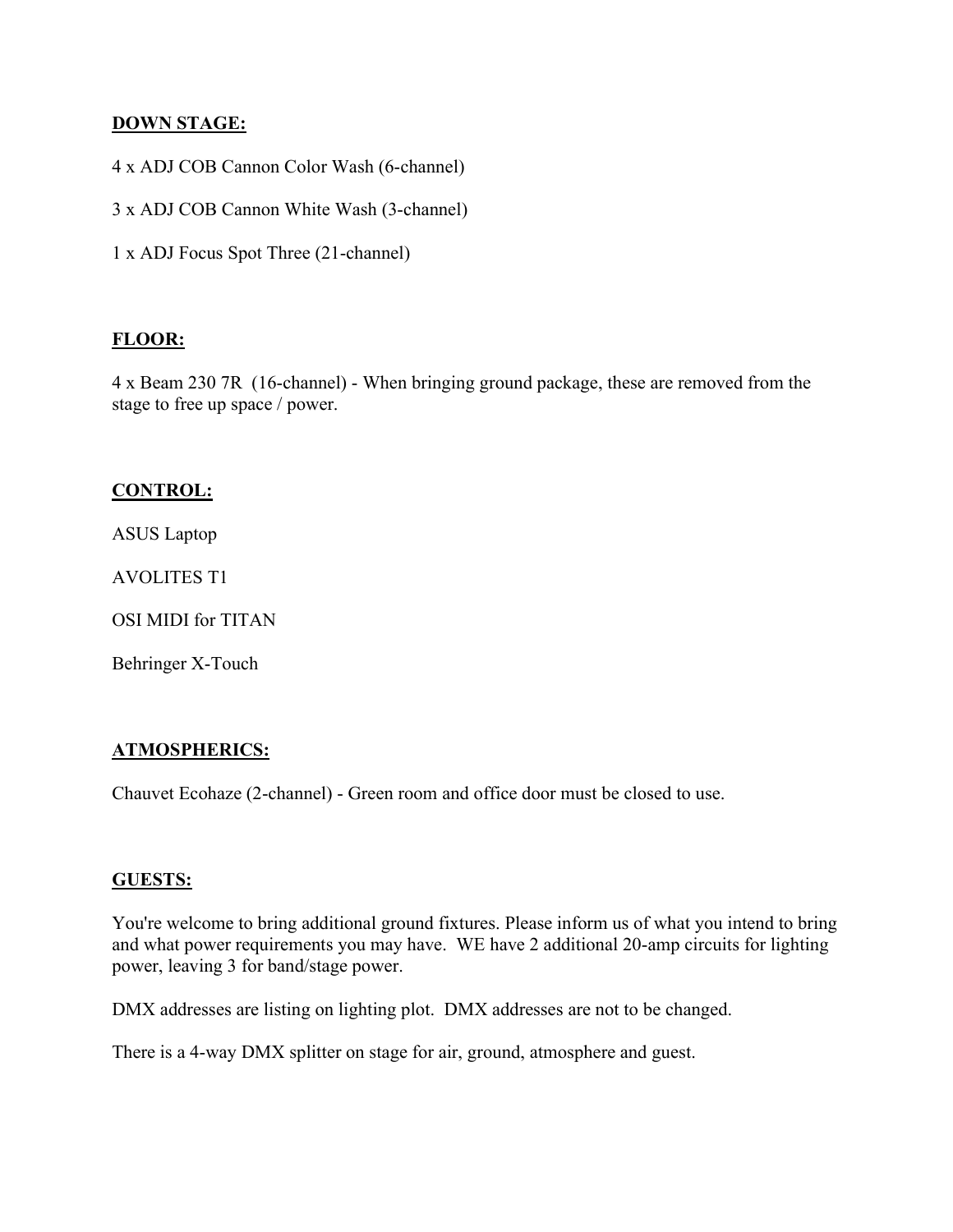#### DOWN STAGE:

4 x ADJ COB Cannon Color Wash (6-channel)

3 x ADJ COB Cannon White Wash (3-channel)

1 x ADJ Focus Spot Three (21-channel)

#### FLOOR:

4 x Beam 230 7R (16-channel) - When bringing ground package, these are removed from the stage to free up space / power.

#### CONTROL:

ASUS Laptop

AVOLITES T1

OSI MIDI for TITAN

Behringer X-Touch

## ATMOSPHERICS:

Chauvet Ecohaze (2-channel) - Green room and office door must be closed to use.

#### GUESTS:

You're welcome to bring additional ground fixtures. Please inform us of what you intend to bring and what power requirements you may have. WE have 2 additional 20-amp circuits for lighting power, leaving 3 for band/stage power.

DMX addresses are listing on lighting plot. DMX addresses are not to be changed.

There is a 4-way DMX splitter on stage for air, ground, atmosphere and guest.